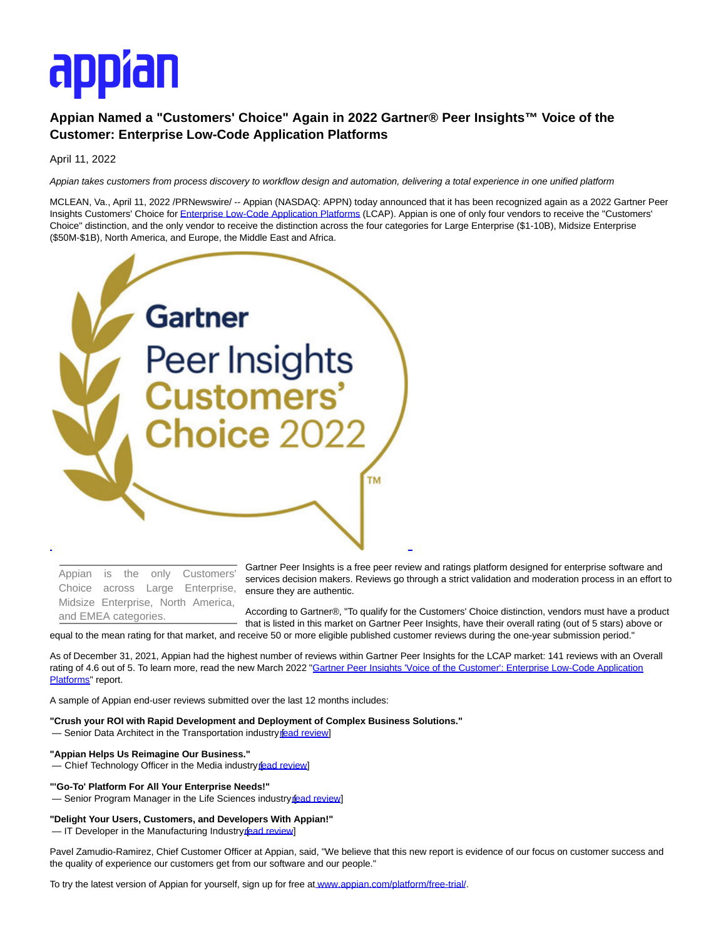# appran

# **Appian Named a "Customers' Choice" Again in 2022 Gartner® Peer Insights™ Voice of the Customer: Enterprise Low-Code Application Platforms**

April 11, 2022

Appian takes customers from process discovery to workflow design and automation, delivering a total experience in one unified platform

MCLEAN, Va., April 11, 2022 /PRNewswire/ -- Appian (NASDAQ: APPN) today announced that it has been recognized again as a 2022 Gartner Peer Insights Customers' Choice fo[r Enterprise Low-Code Application Platforms \(](https://c212.net/c/link/?t=0&l=en&o=3499115-1&h=1622035705&u=https%3A%2F%2Fwww.gartner.com%2Freviews%2Fmarket%2Fenterprise-low-code-application-platform%2Fvendor%2Fappian%2Fproduct%2Fappian&a=Enterprise+Low-Code+Application+Platforms)LCAP). Appian is one of only four vendors to receive the "Customers' Choice" distinction, and the only vendor to receive the distinction across the four categories for Large Enterprise (\$1-10B), Midsize Enterprise (\$50M-\$1B), North America, and Europe, the Middle East and Africa.



Appian is the only Customers' Choice across Large Enterprise, Midsize Enterprise, North America, and EMEA categories.

Gartner Peer Insights is a free peer review and ratings platform designed for enterprise software and services decision makers. Reviews go through a strict validation and moderation process in an effort to ensure they are authentic.

According to Gartner®, "To qualify for the Customers' Choice distinction, vendors must have a product that is listed in this market on Gartner Peer Insights, have their overall rating (out of 5 stars) above or

equal to the mean rating for that market, and receive 50 or more eligible published customer reviews during the one-year submission period."

As of December 31, 2021, Appian had the highest number of reviews within Gartner Peer Insights for the LCAP market: 141 reviews with an Overall rating of 4.6 out of 5. To learn more, read the new March 2022 "Gartner Peer Insights "Voice of the Customer": Enterprise Low-Code Application Platforms" report.

A sample of Appian end-user reviews submitted over the last 12 months includes:

**"Crush your ROI with Rapid Development and Deployment of Complex Business Solutions."**

— Senior Data Architect in the Transportation industry read review]

## **"Appian Helps Us Reimagine Our Business."**

— Chief Technology Officer in the Media industry fead review

### **"'Go-To' Platform For All Your Enterprise Needs!"**

- Senior Program Manager in the Life Sciences industry fead review]

**"Delight Your Users, Customers, and Developers With Appian!"**

— IT Developer in the Manufacturing Industry fead review]

Pavel Zamudio-Ramirez, Chief Customer Officer at Appian, said, "We believe that this new report is evidence of our focus on customer success and the quality of experience our customers get from our software and our people."

To try the latest version of Appian for yourself, sign up for free at [www.appian.com/platform/free-trial/.](https://c212.net/c/link/?t=0&l=en&o=3499115-1&h=359186478&u=http%3A%2F%2Fwww.appian.com%2Fplatform%2Ffree-trial%3Futm_source%3Dreferral%26utm_medium%3Dpress-release%26utm_campaign%3Dplatform%26utm_content%3DGartnerPeerInsights2022&a=www.appian.com%2Fplatform%2Ffree-trial%2F)